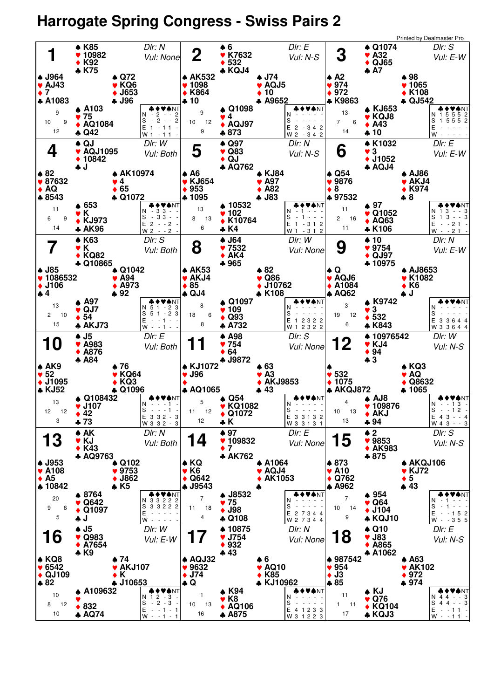## **Harrogate Spring Congress - Swiss Pairs 2**